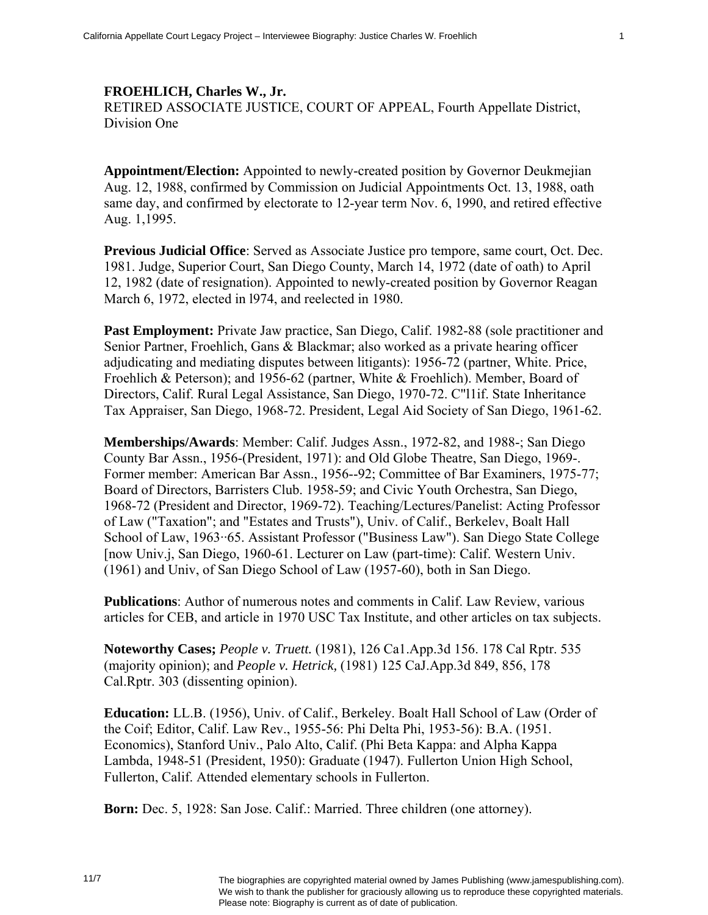## **FROEHLICH, Charles W., Jr.**

RETIRED ASSOCIATE JUSTICE, COURT OF APPEAL, Fourth Appellate District, Division One

**Appointment/Election:** Appointed to newly-created position by Governor Deukmejian Aug. 12, 1988, confirmed by Commission on Judicial Appointments Oct. 13, 1988, oath same day, and confirmed by electorate to 12-year term Nov. 6, 1990, and retired effective Aug. 1,1995.

**Previous Judicial Office**: Served as Associate Justice pro tempore, same court, Oct. Dec. 1981. Judge, Superior Court, San Diego County, March 14, 1972 (date of oath) to April 12, 1982 (date of resignation). Appointed to newly-created position by Governor Reagan March 6, 1972, elected in l974, and reelected in 1980.

**Past Employment:** Private Jaw practice, San Diego, Calif. 1982-88 (sole practitioner and Senior Partner, Froehlich, Gans & Blackmar; also worked as a private hearing officer adjudicating and mediating disputes between litigants): 1956-72 (partner, White. Price, Froehlich & Peterson); and 1956-62 (partner, White & Froehlich). Member, Board of Directors, Calif. Rural Legal Assistance, San Diego, 1970-72. C"l1if. State Inheritance Tax Appraiser, San Diego, 1968-72. President, Legal Aid Society of San Diego, 1961-62.

**Memberships/Awards**: Member: Calif. Judges Assn., 1972-82, and 1988-; San Diego County Bar Assn., 1956-(President, 1971): and Old Globe Theatre, San Diego, 1969-. Former member: American Bar Assn., 1956--92; Committee of Bar Examiners, 1975-77; Board of Directors, Barristers Club. 1958-59; and Civic Youth Orchestra, San Diego, 1968-72 (President and Director, 1969-72). Teaching/Lectures/Panelist: Acting Professor of Law ("Taxation"; and "Estates and Trusts"), Univ. of Calif., Berkelev, Boalt Hall School of Law, 1963··65. Assistant Professor ("Business Law"). San Diego State College [now Univ.j, San Diego, 1960-61. Lecturer on Law (part-time): Calif. Western Univ. (1961) and Univ, of San Diego School of Law (1957-60), both in San Diego.

**Publications**: Author of numerous notes and comments in Calif. Law Review, various articles for CEB, and article in 1970 USC Tax Institute, and other articles on tax subjects.

**Noteworthy Cases;** *People v. Truett.* (1981), 126 Ca1.App.3d 156. 178 Cal Rptr. 535 (majority opinion); and *People v. Hetrick,* (1981) 125 CaJ.App.3d 849, 856, 178 Cal.Rptr. 303 (dissenting opinion).

**Education:** LL.B. (1956), Univ. of Calif., Berkeley. Boalt Hall School of Law (Order of the Coif; Editor, Calif. Law Rev., 1955-56: Phi Delta Phi, 1953-56): B.A. (1951. Economics), Stanford Univ., Palo Alto, Calif. (Phi Beta Kappa: and Alpha Kappa Lambda, 1948-51 (President, 1950): Graduate (1947). Fullerton Union High School, Fullerton, Calif. Attended elementary schools in Fullerton.

**Born:** Dec. 5, 1928: San Jose. Calif.: Married. Three children (one attorney).